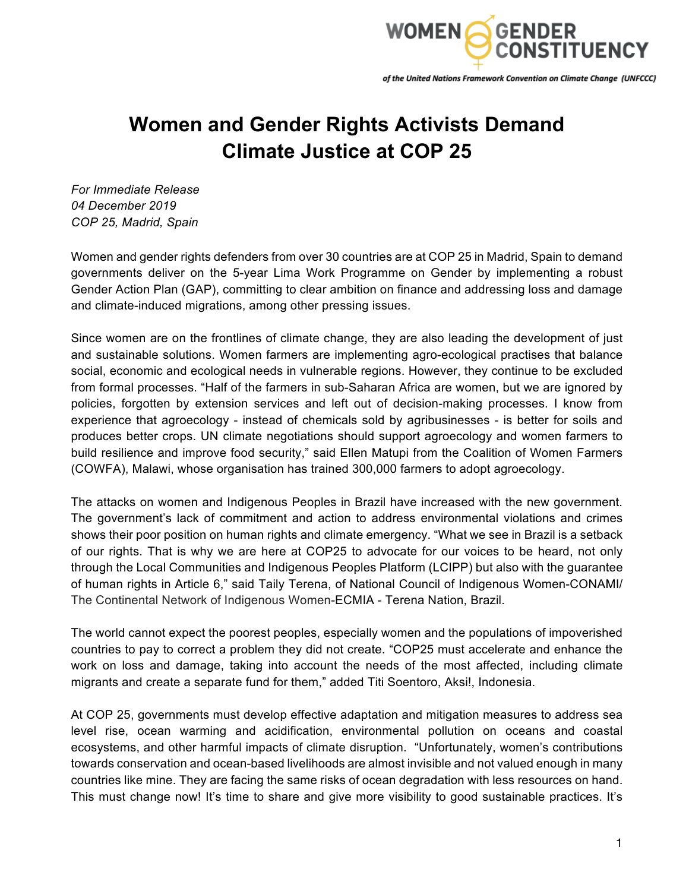

of the United Nations Framework Convention on Climate Change (UNFCCC)

## **Women and Gender Rights Activists Demand Climate Justice at COP 25**

*For Immediate Release 04 December 2019 COP 25, Madrid, Spain*

Women and gender rights defenders from over 30 countries are at COP 25 in Madrid, Spain to demand governments deliver on the 5-year Lima Work Programme on Gender by implementing a robust Gender Action Plan (GAP), committing to clear ambition on finance and addressing loss and damage and climate-induced migrations, among other pressing issues.

Since women are on the frontlines of climate change, they are also leading the development of just and sustainable solutions. Women farmers are implementing agro-ecological practises that balance social, economic and ecological needs in vulnerable regions. However, they continue to be excluded from formal processes. "Half of the farmers in sub-Saharan Africa are women, but we are ignored by policies, forgotten by extension services and left out of decision-making processes. I know from experience that agroecology - instead of chemicals sold by agribusinesses - is better for soils and produces better crops. UN climate negotiations should support agroecology and women farmers to build resilience and improve food security," said Ellen Matupi from the Coalition of Women Farmers (COWFA), Malawi, whose organisation has trained 300,000 farmers to adopt agroecology.

The attacks on women and Indigenous Peoples in Brazil have increased with the new government. The government's lack of commitment and action to address environmental violations and crimes shows their poor position on human rights and climate emergency. "What we see in Brazil is a setback of our rights. That is why we are here at COP25 to advocate for our voices to be heard, not only through the Local Communities and Indigenous Peoples Platform (LCIPP) but also with the guarantee of human rights in Article 6," said Taily Terena, of National Council of Indigenous Women-CONAMI/ The Continental Network of Indigenous Women-ECMIA - Terena Nation, Brazil.

The world cannot expect the poorest peoples, especially women and the populations of impoverished countries to pay to correct a problem they did not create. "COP25 must accelerate and enhance the work on loss and damage, taking into account the needs of the most affected, including climate migrants and create a separate fund for them," added Titi Soentoro, Aksi!, Indonesia.

At COP 25, governments must develop effective adaptation and mitigation measures to address sea level rise, ocean warming and acidification, environmental pollution on oceans and coastal ecosystems, and other harmful impacts of climate disruption. "Unfortunately, women's contributions towards conservation and ocean-based livelihoods are almost invisible and not valued enough in many countries like mine. They are facing the same risks of ocean degradation with less resources on hand. This must change now! It's time to share and give more visibility to good sustainable practices. It's